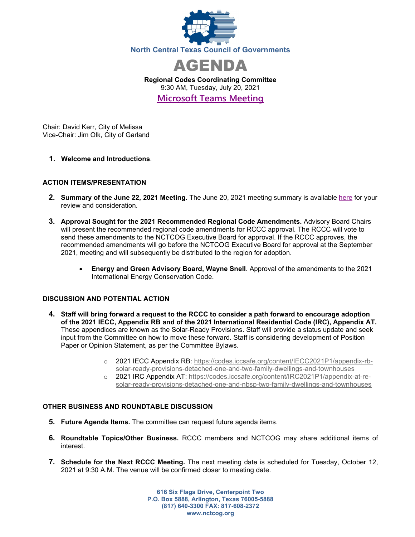



**Regional Codes Coordinating Committee** 9:30 AM, Tuesday, July 20, 2021 **[Microsoft Teams Meeting](https://nam12.safelinks.protection.outlook.com/ap/t-59584e83/?url=https%3A%2F%2Fteams.microsoft.com%2Fl%2Fmeetup-join%2F19%253ameeting_MTcwNjRlMjMtOGE1Ny00MzM1LTgyYTQtODI3MmFhYTNkODIx%2540thread.v2%2F0%3Fcontext%3D%257b%2522Tid%2522%253a%25222f5e7ebc-22b0-4fbe-934c-aabddb4e29b1%2522%252c%2522Oid%2522%253a%2522cab28b78-d671-4384-9c8e-6035f7c46b7d%2522%257d&data=04%7C01%7CCHorner%40nctcog.org%7C09099b67fcc64f777ee708d93bc07fb7%7C2f5e7ebc22b04fbe934caabddb4e29b1%7C0%7C0%7C637606520228712109%7CUnknown%7CTWFpbGZsb3d8eyJWIjoiMC4wLjAwMDAiLCJQIjoiV2luMzIiLCJBTiI6Ik1haWwiLCJXVCI6Mn0%3D%7C1000&sdata=zYABAW3IpIOg8r0UJZt%2F13qDtsMXpWfFgliSQxHxO0c%3D&reserved=0)**

Chair: David Kerr, City of Melissa Vice-Chair: Jim Olk, City of Garland

**1. Welcome and Introductions**.

## **ACTION ITEMS/PRESENTATION**

- **2. Summary of the June 22, 2021 Meeting.** The June 20, 2021 meeting summary is available [here](https://www.nctcog.org/nctcg/media/Environment-and-Development/Committee%20Documents/RCCC/FY2021/Presentation-draft-Summary-Attendance.pdf?ext=.pdf) for your review and consideration.
- **3. Approval Sought for the 2021 Recommended Regional Code Amendments.** Advisory Board Chairs will present the recommended regional code amendments for RCCC approval. The RCCC will vote to send these amendments to the NCTCOG Executive Board for approval. If the RCCC approves, the recommended amendments will go before the NCTCOG Executive Board for approval at the September 2021, meeting and will subsequently be distributed to the region for adoption.
	- **Energy and Green Advisory Board, Wayne Snell**. Approval of the amendments to the 2021 International Energy Conservation Code.

## **DISCUSSION AND POTENTIAL ACTION**

- **4. Staff will bring forward a request to the RCCC to consider a path forward to encourage adoption of the 2021 IECC, Appendix RB and of the 2021 International Residential Code (IRC), Appendix AT.**  These appendices are known as the Solar-Ready Provisions. Staff will provide a status update and seek input from the Committee on how to move these forward. Staff is considering development of Position Paper or Opinion Statement, as per the Committee Bylaws.
	- o 2021 IECC Appendix RB: [https://codes.iccsafe.org/content/IECC2021P1/appendix-rb](https://codes.iccsafe.org/content/IECC2021P1/appendix-rb-solar-ready-provisions-detached-one-and-two-family-dwellings-and-townhouses)[solar-ready-provisions-detached-one-and-two-family-dwellings-and-townhouses](https://codes.iccsafe.org/content/IECC2021P1/appendix-rb-solar-ready-provisions-detached-one-and-two-family-dwellings-and-townhouses)
	- o 2021 IRC Appendix AT: [https://codes.iccsafe.org/content/IRC2021P1/appendix-at-re](https://codes.iccsafe.org/content/IRC2021P1/appendix-at-re-solar-ready-provisions-detached-one-and-nbsp-two-family-dwellings-and-townhouses)[solar-ready-provisions-detached-one-and-nbsp-two-family-dwellings-and-townhouses](https://codes.iccsafe.org/content/IRC2021P1/appendix-at-re-solar-ready-provisions-detached-one-and-nbsp-two-family-dwellings-and-townhouses)

## **OTHER BUSINESS AND ROUNDTABLE DISCUSSION**

- **5. Future Agenda Items.** The committee can request future agenda items.
- **6. Roundtable Topics/Other Business.** RCCC members and NCTCOG may share additional items of interest.
- **7. Schedule for the Next RCCC Meeting.** The next meeting date is scheduled for Tuesday, October 12, 2021 at 9:30 A.M. The venue will be confirmed closer to meeting date.

**616 Six Flags Drive, Centerpoint Two P.O. Box 5888, Arlington, Texas 76005-5888 (817) 640-3300 FAX: 817-608-2372 www.nctcog.org**